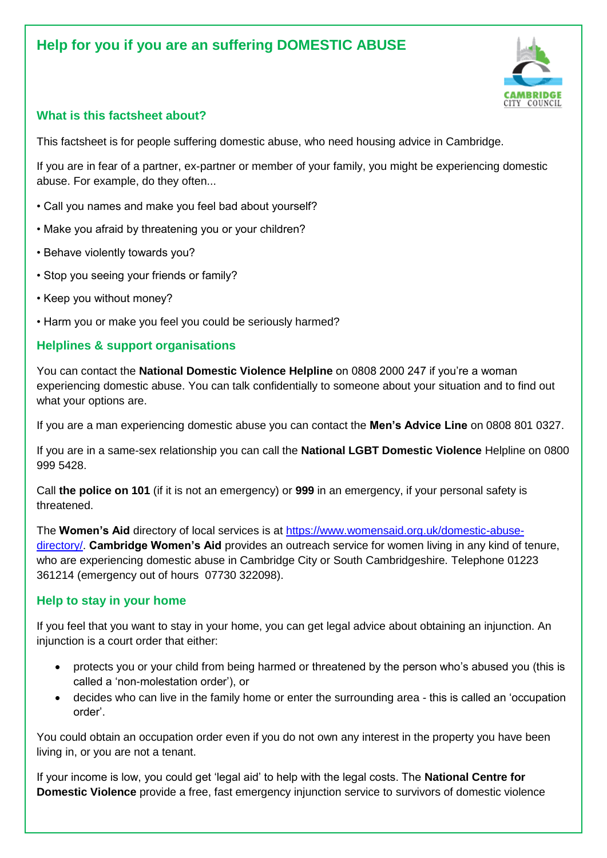# **Help for you if you are an suffering DOMESTIC ABUSE**



# **What is this factsheet about?**

This factsheet is for people suffering domestic abuse, who need housing advice in Cambridge.

If you are in fear of a partner, ex-partner or member of your family, you might be experiencing domestic abuse. For example, do they often...

- Call you names and make you feel bad about yourself?
- Make you afraid by threatening you or your children?
- Behave violently towards you?
- Stop you seeing your friends or family?
- Keep you without money?
- Harm you or make you feel you could be seriously harmed?

## **Helplines & support organisations**

You can contact the **National Domestic Violence Helpline** on 0808 2000 247 if you're a woman experiencing domestic abuse. You can talk confidentially to someone about your situation and to find out what your options are.

If you are a man experiencing domestic abuse you can contact the **Men's Advice Line** on 0808 801 0327.

If you are in a same-sex relationship you can call the **National LGBT Domestic Violence** Helpline on 0800 999 5428.

Call **the police on 101** (if it is not an emergency) or **999** in an emergency, if your personal safety is threatened.

The **Women's Aid** directory of local services is at [https://www.womensaid.org.uk/domestic-abuse](https://www.womensaid.org.uk/domestic-abuse-directory/)[directory/.](https://www.womensaid.org.uk/domestic-abuse-directory/) **Cambridge Women's Aid** provides an outreach service for women living in any kind of tenure, who are experiencing domestic abuse in Cambridge City or South Cambridgeshire. Telephone 01223 361214 (emergency out of hours 07730 322098).

## **Help to stay in your home**

If you feel that you want to stay in your home, you can get legal advice about obtaining an injunction. An injunction is a court order that either:

- protects you or your child from being harmed or threatened by the person who's abused you (this is called a 'non-molestation order'), or
- decides who can live in the family home or enter the surrounding area this is called an 'occupation order'.

You could obtain an occupation order even if you do not own any interest in the property you have been living in, or you are not a tenant.

If your income is low, you could get 'legal aid' to help with the legal costs. The **National Centre for Domestic Violence** provide a free, fast emergency injunction service to survivors of domestic violence